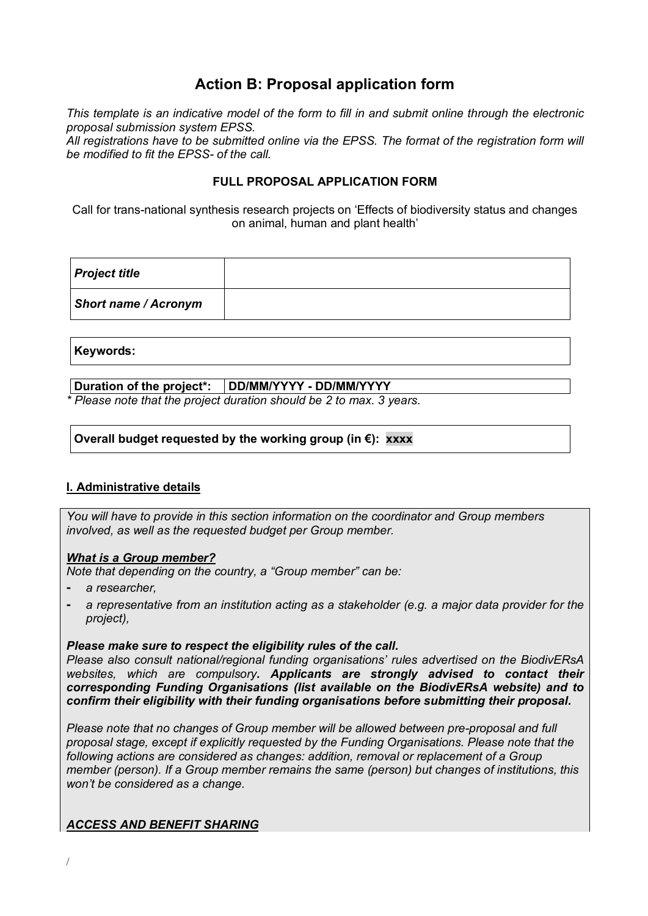# **Action B: Proposal application form**

*This template is an indicative model of the form to fill in and submit online through the electronic proposal submission system EPSS.*

*All registrations have to be submitted online via the EPSS. The format of the registration form will be modified to fit the EPSS- of the call.*

## **FULL PROPOSAL APPLICATION FORM**

Call for trans-national synthesis research projects on 'Effects of biodiversity status and changes on animal, human and plant health'

| <b>Project title</b>        |  |
|-----------------------------|--|
| <b>Short name / Acronym</b> |  |

#### **Keywords:**

## **Duration of the project\*: DD/MM/YYYY - DD/MM/YYYY**

*\* Please note that the project duration should be 2 to max. 3 years.*

## **Overall budget requested by the working group (in €): xxxx**

## **I. Administrative details**

*You will have to provide in this section information on the coordinator and Group members involved, as well as the requested budget per Group member.* 

#### *What is a Group member?*

*Note that depending on the country, a "Group member" can be:*

- ⁃ *a researcher,*
- ⁃ *a representative from an institution acting as a stakeholder (e.g. a major data provider for the project),*

#### *Please make sure to respect the eligibility rules of the call.*

*Please also consult national/regional funding organisations' rules advertised on the BiodivERsA websites, which are compulsory. Applicants are strongly advised to contact their corresponding Funding Organisations (list available on the BiodivERsA website) and to confirm their eligibility with their funding organisations before submitting their proposal.* 

*Please note that no changes of Group member will be allowed between pre-proposal and full proposal stage, except if explicitly requested by the Funding Organisations. Please note that the following actions are considered as changes: addition, removal or replacement of a Group member (person). If a Group member remains the same (person) but changes of institutions, this won't be considered as a change.* 

## *ACCESS AND BENEFIT SHARING*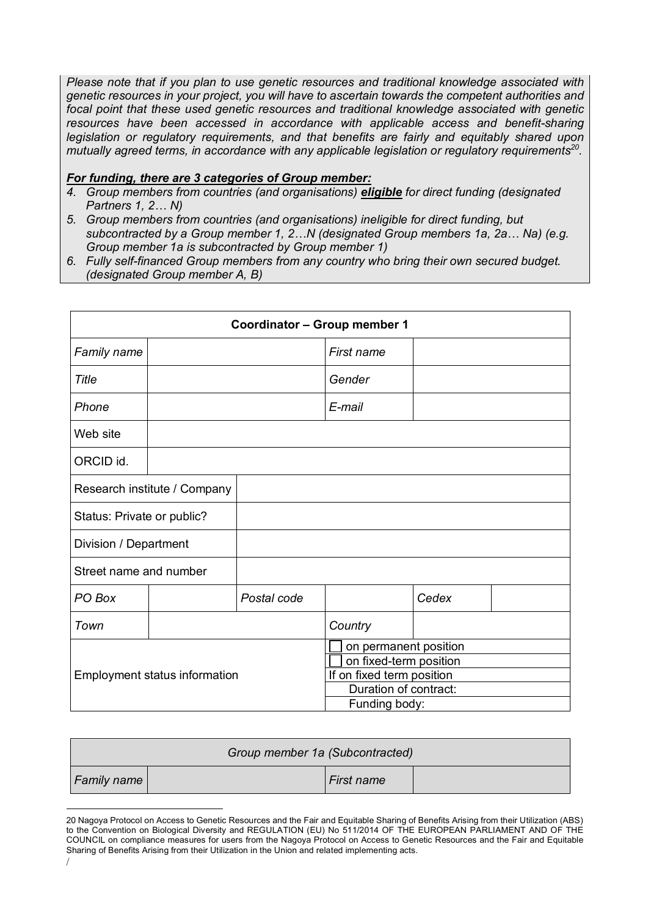*Please note that if you plan to use genetic resources and traditional knowledge associated with genetic resources in your project, you will have to ascertain towards the competent authorities and focal point that these used genetic resources and traditional knowledge associated with genetic resources have been accessed in accordance with applicable access and benefit-sharing legislation or regulatory requirements, and that benefits are fairly and equitably shared upon mutually agreed terms, in accordance with any applicable legislation or regulatory requirements20.*

#### *For funding, there are 3 categories of Group member:*

- *4. Group members from countries (and organisations) eligible for direct funding (designated Partners 1, 2… N)*
- *5. Group members from countries (and organisations) ineligible for direct funding, but subcontracted by a Group member 1, 2…N (designated Group members 1a, 2a… Na) (e.g. Group member 1a is subcontracted by Group member 1)*
- *6. Fully self-financed Group members from any country who bring their own secured budget. (designated Group member A, B)*

|                               | Coordinator - Group member 1 |             |                                                    |       |  |
|-------------------------------|------------------------------|-------------|----------------------------------------------------|-------|--|
| Family name                   |                              |             | First name                                         |       |  |
| Title                         |                              |             | Gender                                             |       |  |
| Phone                         |                              |             | E-mail                                             |       |  |
| Web site                      |                              |             |                                                    |       |  |
| ORCID id.                     |                              |             |                                                    |       |  |
| Research institute / Company  |                              |             |                                                    |       |  |
| Status: Private or public?    |                              |             |                                                    |       |  |
| Division / Department         |                              |             |                                                    |       |  |
| Street name and number        |                              |             |                                                    |       |  |
| PO Box                        |                              | Postal code |                                                    | Cedex |  |
| Town                          |                              |             | Country                                            |       |  |
|                               |                              |             | on permanent position                              |       |  |
| Employment status information |                              |             | on fixed-term position                             |       |  |
|                               |                              |             | If on fixed term position<br>Duration of contract: |       |  |
|                               |                              |             | Funding body:                                      |       |  |

| Group member 1a (Subcontracted) |  |            |  |
|---------------------------------|--|------------|--|
| <b>Family name</b>              |  | First name |  |

 $\overline{a}$ 20 Nagoya Protocol on Access to Genetic Resources and the Fair and Equitable Sharing of Benefits Arising from their Utilization (ABS) to the Convention on Biological Diversity and REGULATION (EU) No 511/2014 OF THE EUROPEAN PARLIAMENT AND OF THE COUNCIL on compliance measures for users from the Nagoya Protocol on Access to Genetic Resources and the Fair and Equitable Sharing of Benefits Arising from their Utilization in the Union and related implementing acts.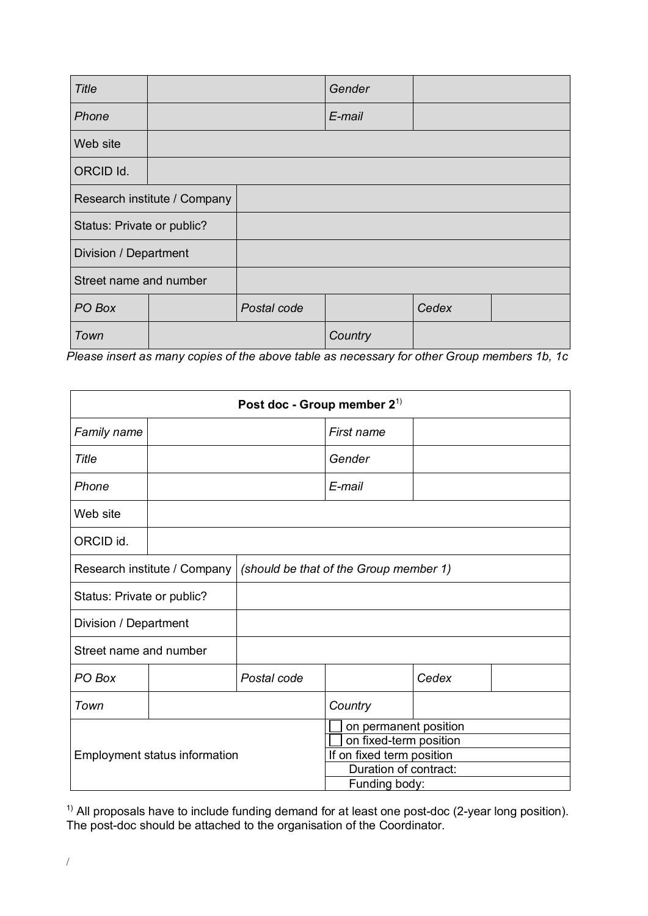| <b>Title</b>               |                              |             | Gender  |       |  |
|----------------------------|------------------------------|-------------|---------|-------|--|
| Phone                      |                              |             | E-mail  |       |  |
| Web site                   |                              |             |         |       |  |
| ORCID Id.                  |                              |             |         |       |  |
|                            | Research institute / Company |             |         |       |  |
| Status: Private or public? |                              |             |         |       |  |
| Division / Department      |                              |             |         |       |  |
| Street name and number     |                              |             |         |       |  |
| PO Box                     |                              | Postal code |         | Cedex |  |
| Town                       |                              |             | Country |       |  |

*Please insert as many copies of the above table as necessary for other Group members 1b, 1c*

|                               | Post doc - Group member $2^{1}$ |                                        |                                                    |       |  |
|-------------------------------|---------------------------------|----------------------------------------|----------------------------------------------------|-------|--|
| Family name                   |                                 |                                        | First name                                         |       |  |
| Title                         |                                 |                                        | Gender                                             |       |  |
| Phone                         |                                 |                                        | E-mail                                             |       |  |
| Web site                      |                                 |                                        |                                                    |       |  |
| ORCID id.                     |                                 |                                        |                                                    |       |  |
| Research institute / Company  |                                 | (should be that of the Group member 1) |                                                    |       |  |
| Status: Private or public?    |                                 |                                        |                                                    |       |  |
| Division / Department         |                                 |                                        |                                                    |       |  |
| Street name and number        |                                 |                                        |                                                    |       |  |
| PO Box                        |                                 | Postal code                            |                                                    | Cedex |  |
| Town                          |                                 |                                        | Country                                            |       |  |
|                               |                                 |                                        | on permanent position                              |       |  |
|                               |                                 |                                        | on fixed-term position                             |       |  |
| Employment status information |                                 |                                        | If on fixed term position<br>Duration of contract: |       |  |
|                               |                                 |                                        |                                                    |       |  |
|                               |                                 |                                        | Funding body:                                      |       |  |

 $1)$  All proposals have to include funding demand for at least one post-doc (2-year long position). The post-doc should be attached to the organisation of the Coordinator.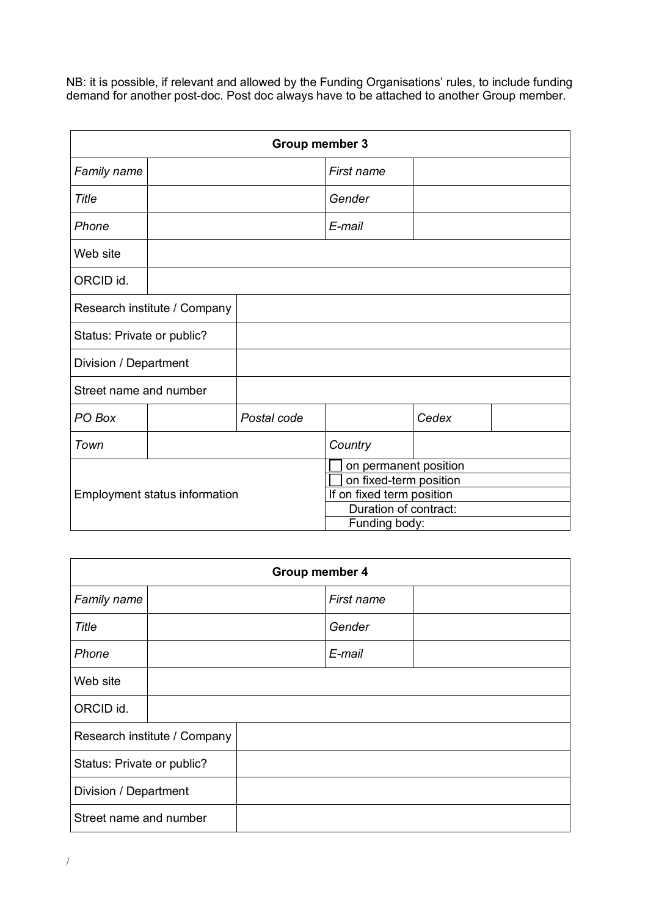NB: it is possible, if relevant and allowed by the Funding Organisations' rules, to include funding demand for another post-doc. Post doc always have to be attached to another Group member.

| Group member 3               |                                      |                        |                                                    |       |  |
|------------------------------|--------------------------------------|------------------------|----------------------------------------------------|-------|--|
| Family name                  |                                      |                        | First name                                         |       |  |
| Title                        |                                      |                        | Gender                                             |       |  |
| Phone                        |                                      |                        | E-mail                                             |       |  |
| Web site                     |                                      |                        |                                                    |       |  |
| ORCID id.                    |                                      |                        |                                                    |       |  |
| Research institute / Company |                                      |                        |                                                    |       |  |
| Status: Private or public?   |                                      |                        |                                                    |       |  |
| Division / Department        |                                      |                        |                                                    |       |  |
| Street name and number       |                                      |                        |                                                    |       |  |
| PO Box                       |                                      | Postal code            |                                                    | Cedex |  |
| Town                         |                                      |                        | Country                                            |       |  |
|                              |                                      |                        | on permanent position                              |       |  |
|                              |                                      | on fixed-term position |                                                    |       |  |
|                              | <b>Employment status information</b> |                        | If on fixed term position<br>Duration of contract: |       |  |
|                              |                                      |                        | Funding body:                                      |       |  |

| Group member 4             |                              |  |            |  |
|----------------------------|------------------------------|--|------------|--|
| Family name                |                              |  | First name |  |
| <b>Title</b>               |                              |  | Gender     |  |
| Phone                      |                              |  | E-mail     |  |
| Web site                   |                              |  |            |  |
| ORCID id.                  |                              |  |            |  |
|                            | Research institute / Company |  |            |  |
| Status: Private or public? |                              |  |            |  |
| Division / Department      |                              |  |            |  |
| Street name and number     |                              |  |            |  |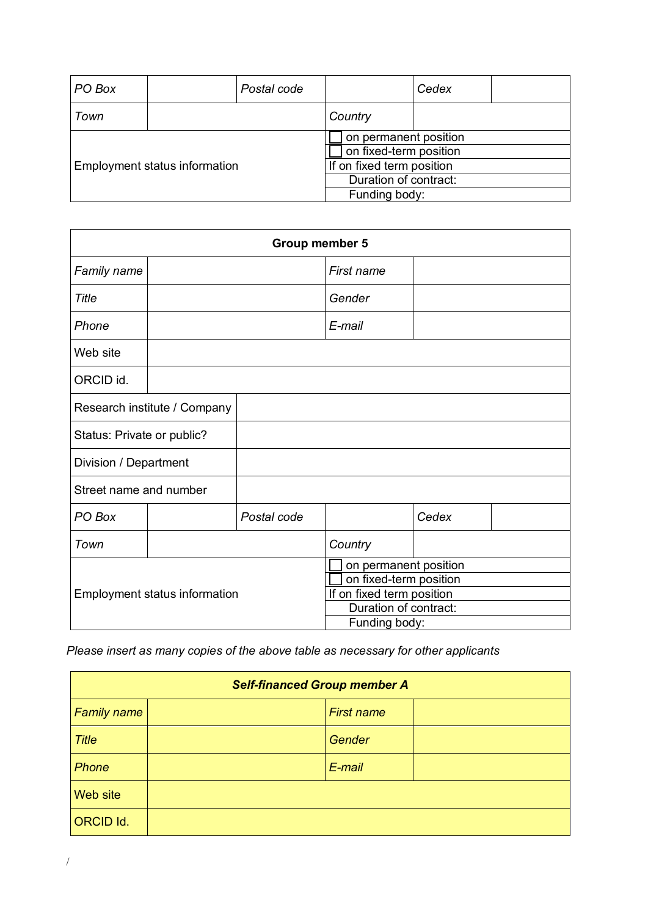| PO Box                               |  | Postal code               |                       | Cedex                  |  |  |
|--------------------------------------|--|---------------------------|-----------------------|------------------------|--|--|
| Town                                 |  |                           | Country               |                        |  |  |
|                                      |  |                           | on permanent position |                        |  |  |
|                                      |  |                           |                       | on fixed-term position |  |  |
| <b>Employment status information</b> |  | If on fixed term position |                       |                        |  |  |
|                                      |  | Duration of contract:     |                       |                        |  |  |
|                                      |  | Funding body:             |                       |                        |  |  |

| Group member 5                |                              |                           |                        |       |  |
|-------------------------------|------------------------------|---------------------------|------------------------|-------|--|
| Family name                   |                              |                           | First name             |       |  |
| Title                         |                              |                           | Gender                 |       |  |
| Phone                         |                              |                           | E-mail                 |       |  |
| Web site                      |                              |                           |                        |       |  |
| ORCID id.                     |                              |                           |                        |       |  |
|                               | Research institute / Company |                           |                        |       |  |
| Status: Private or public?    |                              |                           |                        |       |  |
| Division / Department         |                              |                           |                        |       |  |
| Street name and number        |                              |                           |                        |       |  |
| PO Box                        |                              | Postal code               |                        | Cedex |  |
| Town                          |                              |                           | Country                |       |  |
|                               |                              |                           | on permanent position  |       |  |
|                               |                              |                           | on fixed-term position |       |  |
| Employment status information |                              | If on fixed term position |                        |       |  |
|                               |                              |                           | Duration of contract:  |       |  |
|                               |                              |                           | Funding body:          |       |  |

*Please insert as many copies of the above table as necessary for other applicants*

| <b>Self-financed Group member A</b> |                   |  |  |
|-------------------------------------|-------------------|--|--|
| <b>Family name</b>                  | <b>First name</b> |  |  |
| <b>Title</b>                        | Gender            |  |  |
| Phone                               | E-mail            |  |  |
| <b>Web site</b>                     |                   |  |  |
| <b>ORCID Id.</b>                    |                   |  |  |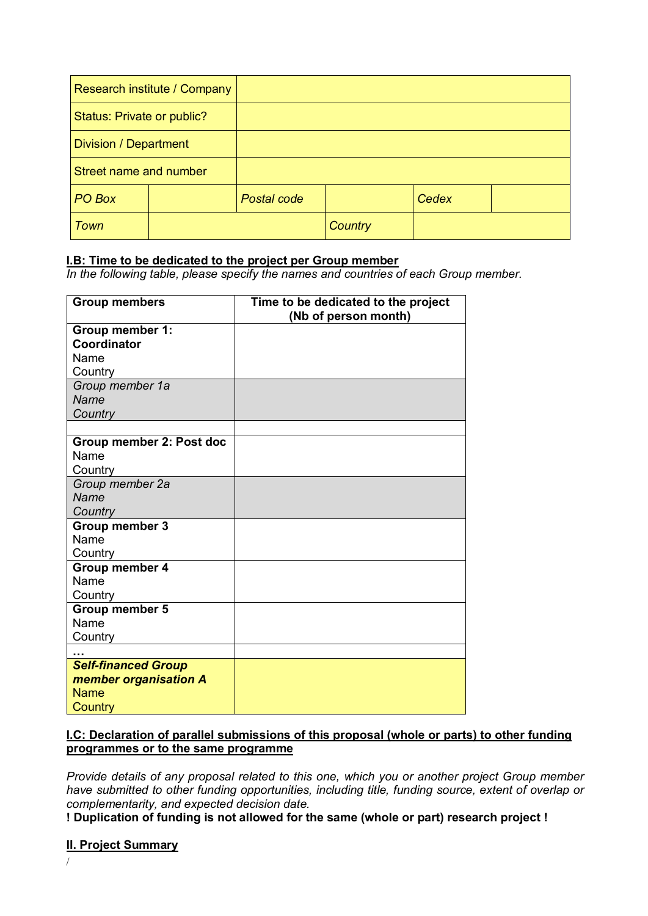|                            | Research institute / Company |             |         |       |  |
|----------------------------|------------------------------|-------------|---------|-------|--|
| Status: Private or public? |                              |             |         |       |  |
| Division / Department      |                              |             |         |       |  |
| Street name and number     |                              |             |         |       |  |
| PO Box                     |                              | Postal code |         | Cedex |  |
| <b>Town</b>                |                              |             | Country |       |  |

## **I.B: Time to be dedicated to the project per Group member**

*In the following table, please specify the names and countries of each Group member.* 

| <b>Group members</b>       | Time to be dedicated to the project<br>(Nb of person month) |
|----------------------------|-------------------------------------------------------------|
| Group member 1:            |                                                             |
| Coordinator                |                                                             |
| Name                       |                                                             |
| Country                    |                                                             |
| Group member 1a            |                                                             |
| Name                       |                                                             |
| Country                    |                                                             |
|                            |                                                             |
| Group member 2: Post doc   |                                                             |
| Name                       |                                                             |
| Country                    |                                                             |
| Group member 2a            |                                                             |
| Name                       |                                                             |
| Country                    |                                                             |
| <b>Group member 3</b>      |                                                             |
| Name                       |                                                             |
| Country                    |                                                             |
| Group member 4             |                                                             |
| Name                       |                                                             |
| Country                    |                                                             |
| <b>Group member 5</b>      |                                                             |
| Name                       |                                                             |
| Country                    |                                                             |
|                            |                                                             |
| <b>Self-financed Group</b> |                                                             |
| member organisation A      |                                                             |
| <b>Name</b>                |                                                             |
| Country                    |                                                             |

## **I.C: Declaration of parallel submissions of this proposal (whole or parts) to other funding programmes or to the same programme**

*Provide details of any proposal related to this one, which you or another project Group member have submitted to other funding opportunities, including title, funding source, extent of overlap or complementarity, and expected decision date.* 

**! Duplication of funding is not allowed for the same (whole or part) research project !**

## **II. Project Summary**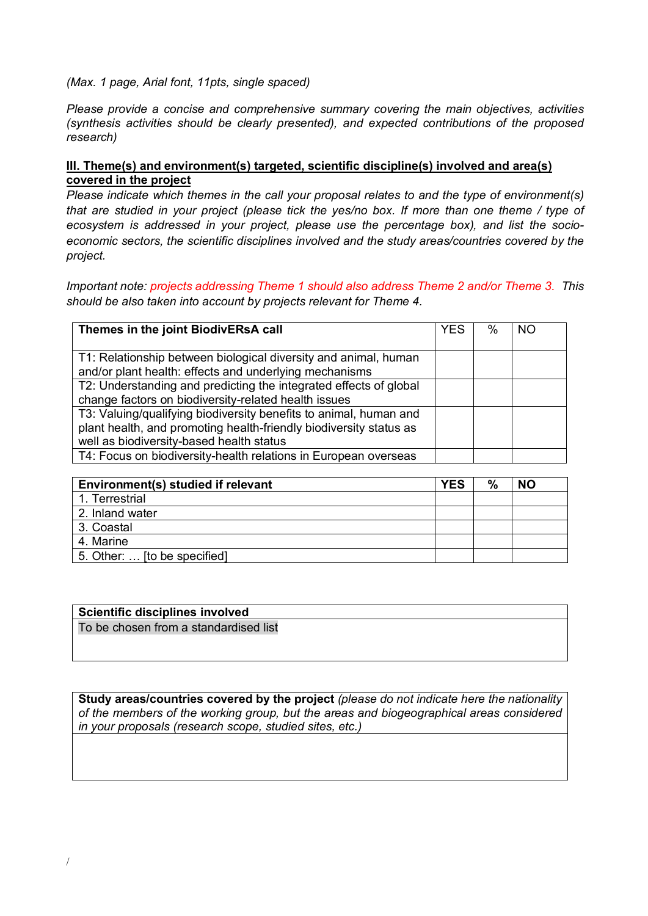#### *(Max. 1 page, Arial font, 11pts, single spaced)*

*Please provide a concise and comprehensive summary covering the main objectives, activities (synthesis activities should be clearly presented), and expected contributions of the proposed research)*

## **III. Theme(s) and environment(s) targeted, scientific discipline(s) involved and area(s) covered in the project**

*Please indicate which themes in the call your proposal relates to and the type of environment(s) that are studied in your project (please tick the yes/no box. If more than one theme / type of ecosystem is addressed in your project, please use the percentage box), and list the socioeconomic sectors, the scientific disciplines involved and the study areas/countries covered by the project.*

*Important note: projects addressing Theme 1 should also address Theme 2 and/or Theme 3. This should be also taken into account by projects relevant for Theme 4.*

| Themes in the joint BiodivERsA call                                |  | $\%$ | NC |
|--------------------------------------------------------------------|--|------|----|
|                                                                    |  |      |    |
| T1: Relationship between biological diversity and animal, human    |  |      |    |
| and/or plant health: effects and underlying mechanisms             |  |      |    |
| T2: Understanding and predicting the integrated effects of global  |  |      |    |
| change factors on biodiversity-related health issues               |  |      |    |
| T3: Valuing/qualifying biodiversity benefits to animal, human and  |  |      |    |
| plant health, and promoting health-friendly biodiversity status as |  |      |    |
| well as biodiversity-based health status                           |  |      |    |
| T4: Focus on biodiversity-health relations in European overseas    |  |      |    |

| Environment(s) studied if relevant | YES | % | <b>NO</b> |
|------------------------------------|-----|---|-----------|
| 1. Terrestrial                     |     |   |           |
| 2. Inland water                    |     |   |           |
| 3. Coastal                         |     |   |           |
| 4. Marine                          |     |   |           |
| 5. Other:  [to be specified]       |     |   |           |

| <b>Scientific disciplines involved</b> |  |
|----------------------------------------|--|
| To be chosen from a standardised list  |  |
|                                        |  |

**Study areas/countries covered by the project** *(please do not indicate here the nationality of the members of the working group, but the areas and biogeographical areas considered in your proposals (research scope, studied sites, etc.)*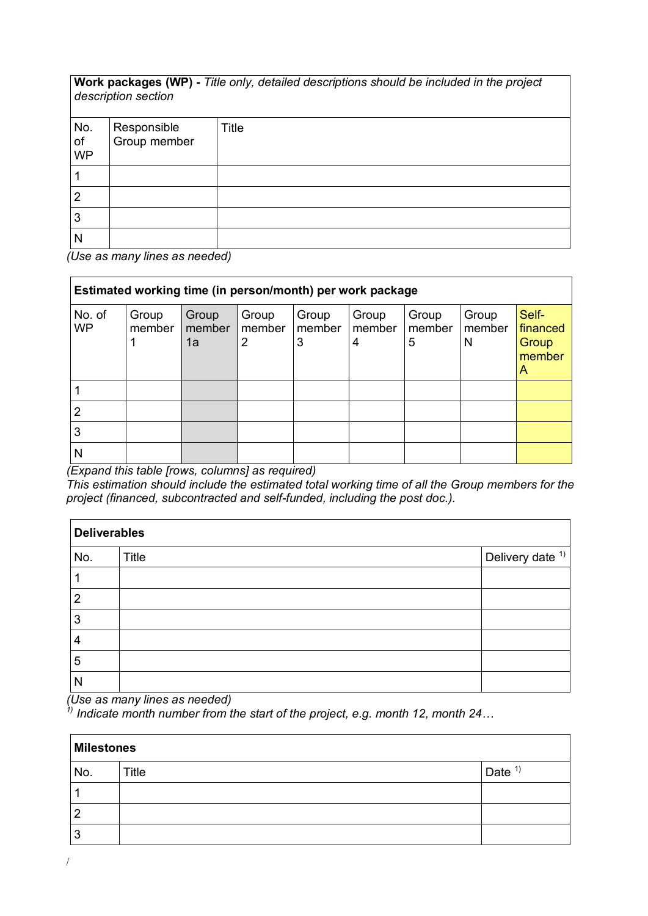**Work packages (WP) -** *Title only, detailed descriptions should be included in the project description section*

| No.<br>of<br>WP | Responsible<br>Group member | Title |
|-----------------|-----------------------------|-------|
|                 |                             |       |
| Ω               |                             |       |
| 3               |                             |       |
| N               |                             |       |

*(Use as many lines as needed)* 

| Estimated working time (in person/month) per work package |                 |                       |                                   |                      |                      |                      |                      |                                           |
|-----------------------------------------------------------|-----------------|-----------------------|-----------------------------------|----------------------|----------------------|----------------------|----------------------|-------------------------------------------|
| No. of<br><b>WP</b>                                       | Group<br>member | Group<br>member<br>1a | Group<br>member<br>$\overline{2}$ | Group<br>member<br>3 | Group<br>member<br>4 | Group<br>member<br>5 | Group<br>member<br>N | Self-<br>financed<br>Group<br>member<br>A |
|                                                           |                 |                       |                                   |                      |                      |                      |                      |                                           |
| 2                                                         |                 |                       |                                   |                      |                      |                      |                      |                                           |
| 3                                                         |                 |                       |                                   |                      |                      |                      |                      |                                           |
| Ν                                                         |                 |                       |                                   |                      |                      |                      |                      |                                           |

*(Expand this table [rows, columns] as required)*

*This estimation should include the estimated total working time of all the Group members for the project (financed, subcontracted and self-funded, including the post doc.).* 

| <b>Deliverables</b> |       |                                     |
|---------------------|-------|-------------------------------------|
| No.                 | Title | $ $ Delivery date $ $ <sup>1)</sup> |
|                     |       |                                     |
| $\overline{2}$      |       |                                     |
| 3                   |       |                                     |
| 4                   |       |                                     |
| 5                   |       |                                     |
| N                   |       |                                     |

*(Use as many lines as needed)*

*1) Indicate month number from the start of the project, e.g. month 12, month 24…*

| <b>Milestones</b> |       |          |
|-------------------|-------|----------|
| No.               | Title | Date $1$ |
|                   |       |          |
| σ                 |       |          |
| 3                 |       |          |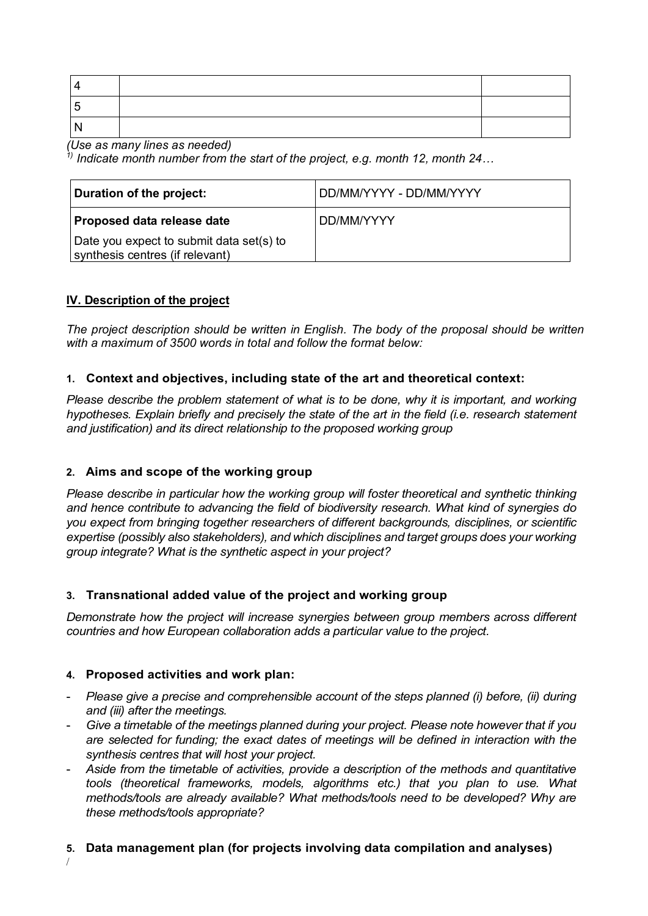*(Use as many lines as needed)*

*1) Indicate month number from the start of the project, e.g. month 12, month 24…*

| Duration of the project:                                                    | DD/MM/YYYY - DD/MM/YYYY |
|-----------------------------------------------------------------------------|-------------------------|
| Proposed data release date                                                  | DD/MM/YYYY              |
| Date you expect to submit data set(s) to<br>synthesis centres (if relevant) |                         |

# **IV. Description of the project**

*The project description should be written in English. The body of the proposal should be written with a maximum of 3500 words in total and follow the format below:*

## **1. Context and objectives, including state of the art and theoretical context:**

*Please describe the problem statement of what is to be done, why it is important, and working hypotheses. Explain briefly and precisely the state of the art in the field (i.e. research statement and justification) and its direct relationship to the proposed working group*

## **2. Aims and scope of the working group**

*Please describe in particular how the working group will foster theoretical and synthetic thinking and hence contribute to advancing the field of biodiversity research. What kind of synergies do you expect from bringing together researchers of different backgrounds, disciplines, or scientific expertise (possibly also stakeholders), and which disciplines and target groups does your working group integrate? What is the synthetic aspect in your project?*

## **3. Transnational added value of the project and working group**

*Demonstrate how the project will increase synergies between group members across different countries and how European collaboration adds a particular value to the project.* 

## **4. Proposed activities and work plan:**

- *Please give a precise and comprehensible account of the steps planned (i) before, (ii) during and (iii) after the meetings.*
- Give a timetable of the meetings planned during your project. Please note however that if you *are selected for funding; the exact dates of meetings will be defined in interaction with the synthesis centres that will host your project.*
- *Aside from the timetable of activities, provide a description of the methods and quantitative tools (theoretical frameworks, models, algorithms etc.) that you plan to use. What methods/tools are already available? What methods/tools need to be developed? Why are these methods/tools appropriate?*

## **5. Data management plan (for projects involving data compilation and analyses)**

/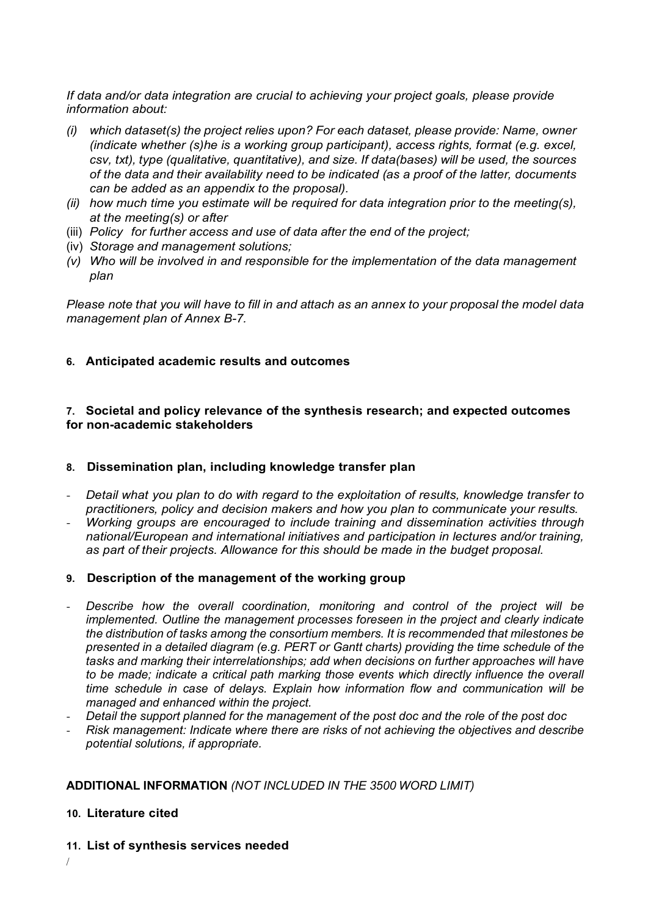*If data and/or data integration are crucial to achieving your project goals, please provide information about:* 

- *(i) which dataset(s) the project relies upon? For each dataset, please provide: Name, owner (indicate whether (s)he is a working group participant), access rights, format (e.g. excel, csv, txt), type (qualitative, quantitative), and size. If data(bases) will be used, the sources of the data and their availability need to be indicated (as a proof of the latter, documents can be added as an appendix to the proposal).*
- *(ii) how much time you estimate will be required for data integration prior to the meeting(s), at the meeting(s) or after*
- (iii) *Policy for further access and use of data after the end of the project;*
- (iv) *Storage and management solutions;*
- *(v) Who will be involved in and responsible for the implementation of the data management plan*

*Please note that you will have to fill in and attach as an annex to your proposal the model data management plan of Annex B-7.* 

## **6. Anticipated academic results and outcomes**

## **7. Societal and policy relevance of the synthesis research; and expected outcomes for non-academic stakeholders**

## **8. Dissemination plan, including knowledge transfer plan**

- *Detail what you plan to do with regard to the exploitation of results, knowledge transfer to practitioners, policy and decision makers and how you plan to communicate your results.*
- *Working groups are encouraged to include training and dissemination activities through national/European and international initiatives and participation in lectures and/or training, as part of their projects. Allowance for this should be made in the budget proposal.*

#### **9. Description of the management of the working group**

- Describe how the overall coordination, monitoring and control of the project will be *implemented. Outline the management processes foreseen in the project and clearly indicate the distribution of tasks among the consortium members. It is recommended that milestones be presented in a detailed diagram (e.g. PERT or Gantt charts) providing the time schedule of the tasks and marking their interrelationships; add when decisions on further approaches will have*  to be made; indicate a critical path marking those events which directly influence the overall *time schedule in case of delays. Explain how information flow and communication will be managed and enhanced within the project.*
- *Detail the support planned for the management of the post doc and the role of the post doc*
- *Risk management: Indicate where there are risks of not achieving the objectives and describe potential solutions, if appropriate.*

#### **ADDITIONAL INFORMATION** *(NOT INCLUDED IN THE 3500 WORD LIMIT)*

## **10. Literature cited**

/

**11. List of synthesis services needed**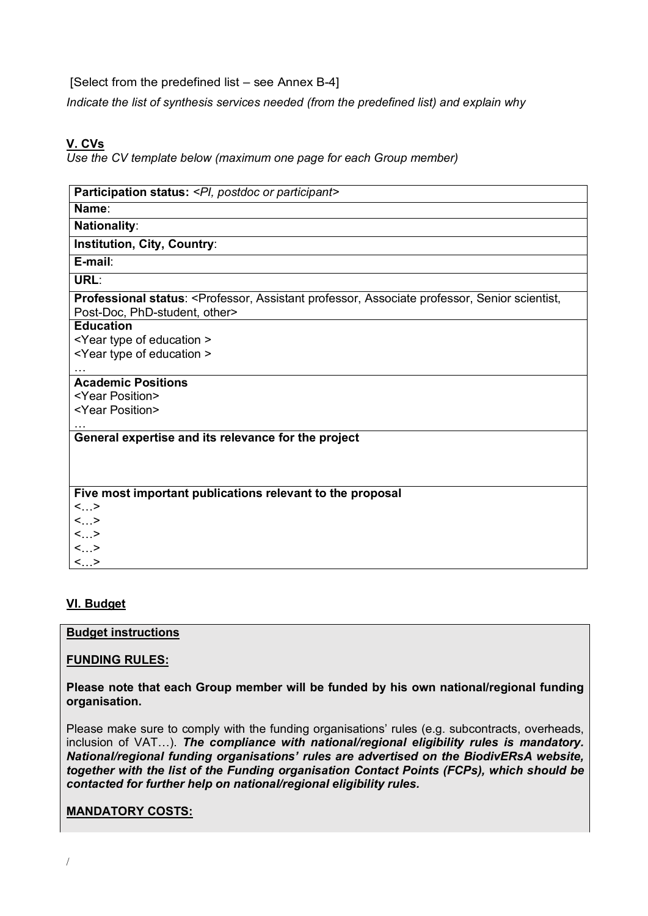[Select from the predefined list – see Annex B-4]

*Indicate the list of synthesis services needed (from the predefined list) and explain why*

# **V. CVs**

*Use the CV template below (maximum one page for each Group member)*

| Participation status: < PI, postdoc or participant>                                                                                               |
|---------------------------------------------------------------------------------------------------------------------------------------------------|
| Name:                                                                                                                                             |
| <b>Nationality:</b>                                                                                                                               |
| Institution, City, Country:                                                                                                                       |
| E-mail:                                                                                                                                           |
| URL:                                                                                                                                              |
| Professional status: <professor, assistant="" associate="" professor,="" scientist,<br="" senior="">Post-Doc, PhD-student, other&gt;</professor,> |
| <b>Education</b>                                                                                                                                  |
| <year education="" of="" type=""></year>                                                                                                          |
| <year education="" of="" type=""></year>                                                                                                          |
|                                                                                                                                                   |
| <b>Academic Positions</b>                                                                                                                         |
| <year position=""></year>                                                                                                                         |
| <year position=""></year>                                                                                                                         |
|                                                                                                                                                   |
| General expertise and its relevance for the project                                                                                               |
|                                                                                                                                                   |
|                                                                                                                                                   |
| Five most important publications relevant to the proposal                                                                                         |
| $<$ >                                                                                                                                             |
| $<_{}>$                                                                                                                                           |
| <>                                                                                                                                                |
| $\langle \cdot \rangle$                                                                                                                           |
| $<$ >                                                                                                                                             |

## **VI. Budget**

## **Budget instructions**

## **FUNDING RULES:**

## **Please note that each Group member will be funded by his own national/regional funding organisation.**

Please make sure to comply with the funding organisations' rules (e.g. subcontracts, overheads, inclusion of VAT…). *The compliance with national/regional eligibility rules is mandatory. National/regional funding organisations' rules are advertised on the BiodivERsA website, together with the list of the Funding organisation Contact Points (FCPs), which should be contacted for further help on national/regional eligibility rules.*

# **MANDATORY COSTS:**